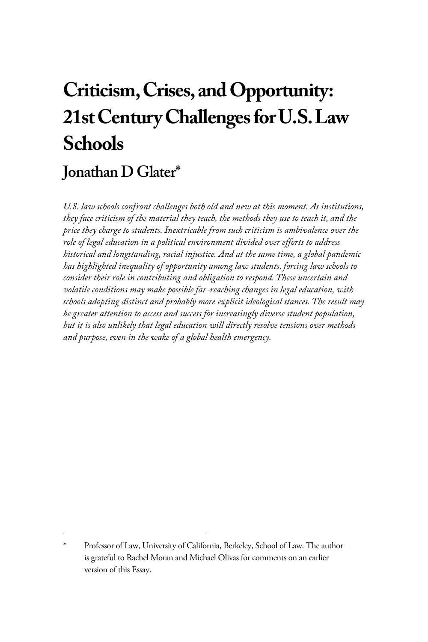# **Criticism, Crises, and Opportunity: 21st Century Challenges for U.S. Law Schools**

## **Jonathan D Glater\***

*U.S. law schools confront challenges both old and new at this moment. As institutions, they face criticism of the material they teach, the methods they use to teach it, and the price they charge to students. Inextricable from such criticism is ambivalence over the role of legal education in a political environment divided over efforts to address historical and longstanding, racial injustice. And at the same time, a global pandemic has highlighted inequality of opportunity among law students, forcing law schools to consider their role in contributing and obligation to respond. These uncertain and volatile conditions may make possible far-reaching changes in legal education, with schools adopting distinct and probably more explicit ideological stances. The result may be greater attention to access and success for increasingly diverse student population, but it is also unlikely that legal education will directly resolve tensions over methods and purpose, even in the wake of a global health emergency.* 

Professor of Law, University of California, Berkeley, School of Law. The author is grateful to Rachel Moran and Michael Olivas for comments on an earlier version of this Essay.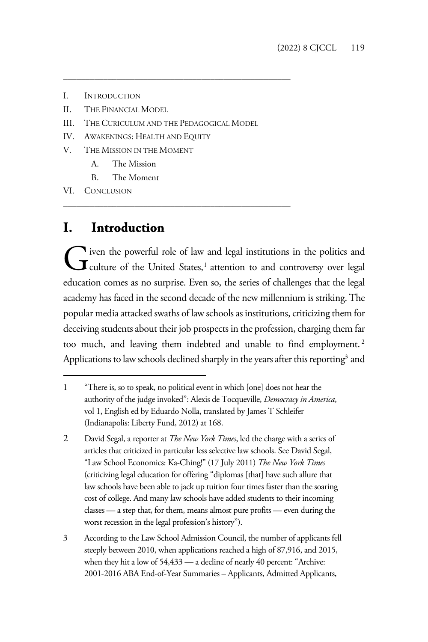- I. INTRODUCTION
- II. THE FINANCIAL MODEL
- III. THE CURICULUM AND THE PEDAGOGICAL MODEL

\_\_\_\_\_\_\_\_\_\_\_\_\_\_\_\_\_\_\_\_\_\_\_\_\_\_\_\_\_\_\_\_\_\_\_\_\_\_\_\_\_\_\_\_\_\_\_\_\_\_\_

\_\_\_\_\_\_\_\_\_\_\_\_\_\_\_\_\_\_\_\_\_\_\_\_\_\_\_\_\_\_\_\_\_\_\_\_\_\_\_\_\_\_\_\_\_\_\_\_\_\_\_

- IV. AWAKENINGS: HEALTH AND EQUITY
- V. THE MISSION IN THE MOMENT
	- A. The Mission
	- B. The Moment

VI. CONCLUSION

#### **I. Introduction**

iven the powerful role of law and legal institutions in the politics and G iven the powerful role of law and legal institutions in the politics and Culture of the United States,<sup>1</sup> attention to and controversy over legal education comes as no surprise. Even so, the series of challenges that the legal academy has faced in the second decade of the new millennium is striking. The popular media attacked swaths of law schools as institutions, criticizing them for deceiving students about their job prospects in the profession, charging them far too much, and leaving them indebted and unable to find employment.<sup>2</sup> Applications to law schools declined sharply in the years after this reporting<sup>3</sup> and

<sup>1 &</sup>quot;There is, so to speak, no political event in which [one] does not hear the authority of the judge invoked": Alexis de Tocqueville, *Democracy in America*, vol 1, English ed by Eduardo Nolla, translated by James T Schleifer (Indianapolis: Liberty Fund, 2012) at 168.

<sup>2</sup> David Segal, a reporter at *The New York Times*, led the charge with a series of articles that criticized in particular less selective law schools. See David Segal, "Law School Economics: Ka-Ching!" (17 July 2011) *The New York Times*  (criticizing legal education for offering "diplomas [that] have such allure that law schools have been able to jack up tuition four times faster than the soaring cost of college. And many law schools have added students to their incoming classes — a step that, for them, means almost pure profits — even during the worst recession in the legal profession's history").

<sup>3</sup> According to the Law School Admission Council, the number of applicants fell steeply between 2010, when applications reached a high of 87,916, and 2015, when they hit a low of 54,433 — a decline of nearly 40 percent: "Archive: 2001-2016 ABA End-of-Year Summaries – Applicants, Admitted Applicants,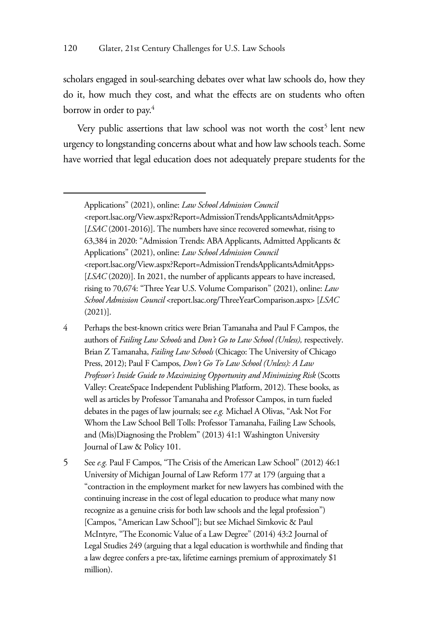scholars engaged in soul-searching debates over what law schools do, how they do it, how much they cost, and what the effects are on students who often borrow in order to pay.<sup>4</sup>

Very public assertions that law school was not worth the cost<sup>5</sup> lent new urgency to longstanding concerns about what and how law schools teach. Some have worried that legal education does not adequately prepare students for the

- 4 Perhaps the best-known critics were Brian Tamanaha and Paul F Campos, the authors of *Failing Law Schools* and *Don't Go to Law School (Unless),* respectively. Brian Z Tamanaha, *Failing Law Schools* (Chicago: The University of Chicago Press, 2012); Paul F Campos, *Don't Go To Law School (Unless): A Law Professor's Inside Guide to Maximizing Opportunity and Minimizing Risk* (Scotts Valley: CreateSpace Independent Publishing Platform, 2012). These books, as well as articles by Professor Tamanaha and Professor Campos, in turn fueled debates in the pages of law journals; see *e.g.* Michael A Olivas, "Ask Not For Whom the Law School Bell Tolls: Professor Tamanaha, Failing Law Schools, and (Mis)Diagnosing the Problem" (2013) 41:1 Washington University Journal of Law & Policy 101.
- 5 See *e.g.* Paul F Campos, "The Crisis of the American Law School" (2012) 46:1 University of Michigan Journal of Law Reform 177 at 179 (arguing that a "contraction in the employment market for new lawyers has combined with the continuing increase in the cost of legal education to produce what many now recognize as a genuine crisis for both law schools and the legal profession") [Campos, "American Law School"]; but see Michael Simkovic & Paul McIntyre, "The Economic Value of a Law Degree" (2014) 43:2 Journal of Legal Studies 249 (arguing that a legal education is worthwhile and finding that a law degree confers a pre-tax, lifetime earnings premium of approximately \$1 million).

Applications" (2021), online: *Law School Admission Council* <report.lsac.org/View.aspx?Report=AdmissionTrendsApplicantsAdmitApps> [*LSAC* (2001-2016)]. The numbers have since recovered somewhat, rising to 63,384 in 2020: "Admission Trends: ABA Applicants, Admitted Applicants & Applications" (2021), online: *Law School Admission Council* <report.lsac.org/View.aspx?Report=AdmissionTrendsApplicantsAdmitApps> [*LSAC* (2020)]. In 2021, the number of applicants appears to have increased, rising to 70,674: "Three Year U.S. Volume Comparison" (2021), online: *Law School Admission Council* <report.lsac.org/ThreeYearComparison.aspx> [*LSAC* (2021)].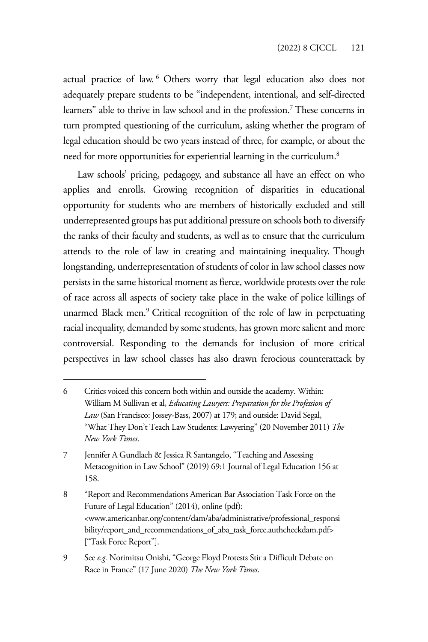actual practice of law. <sup>6</sup> Others worry that legal education also does not adequately prepare students to be "independent, intentional, and self-directed learners" able to thrive in law school and in the profession.7 These concerns in turn prompted questioning of the curriculum, asking whether the program of legal education should be two years instead of three, for example, or about the need for more opportunities for experiential learning in the curriculum.<sup>8</sup>

Law schools' pricing, pedagogy, and substance all have an effect on who applies and enrolls. Growing recognition of disparities in educational opportunity for students who are members of historically excluded and still underrepresented groups has put additional pressure on schools both to diversify the ranks of their faculty and students, as well as to ensure that the curriculum attends to the role of law in creating and maintaining inequality. Though longstanding, underrepresentation of students of color in law school classes now persists in the same historical moment as fierce, worldwide protests over the role of race across all aspects of society take place in the wake of police killings of unarmed Black men.9 Critical recognition of the role of law in perpetuating racial inequality, demanded by some students, has grown more salient and more controversial. Responding to the demands for inclusion of more critical perspectives in law school classes has also drawn ferocious counterattack by

<sup>6</sup> Critics voiced this concern both within and outside the academy. Within: William M Sullivan et al, *Educating Lawyers: Preparation for the Profession of Law* (San Francisco: Jossey-Bass, 2007) at 179; and outside: David Segal, "What They Don't Teach Law Students: Lawyering" (20 November 2011) *The New York Times*.

<sup>7</sup> Jennifer A Gundlach & Jessica R Santangelo, "Teaching and Assessing Metacognition in Law School" (2019) 69:1 Journal of Legal Education 156 at 158.

<sup>8 &</sup>quot;Report and Recommendations American Bar Association Task Force on the Future of Legal Education" (2014), online (pdf): <www.americanbar.org/content/dam/aba/administrative/professional\_responsi bility/report\_and\_recommendations\_of\_aba\_task\_force.authcheckdam.pdf> ["Task Force Report"].

<sup>9</sup> See *e.g.* Norimitsu Onishi, "George Floyd Protests Stir a Difficult Debate on Race in France" (17 June 2020) *The New York Times*.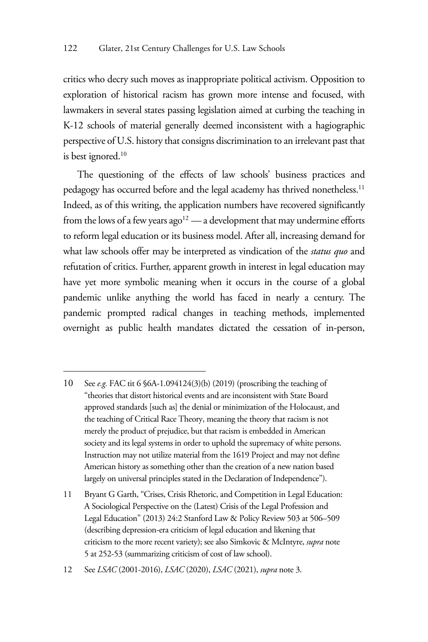critics who decry such moves as inappropriate political activism. Opposition to exploration of historical racism has grown more intense and focused, with lawmakers in several states passing legislation aimed at curbing the teaching in K-12 schools of material generally deemed inconsistent with a hagiographic perspective of U.S. history that consigns discrimination to an irrelevant past that is best ignored.<sup>10</sup>

The questioning of the effects of law schools' business practices and pedagogy has occurred before and the legal academy has thrived nonetheless.<sup>11</sup> Indeed, as of this writing, the application numbers have recovered significantly from the lows of a few years  $ago^{12}$  — a development that may undermine efforts to reform legal education or its business model. After all, increasing demand for what law schools offer may be interpreted as vindication of the *status quo* and refutation of critics. Further, apparent growth in interest in legal education may have yet more symbolic meaning when it occurs in the course of a global pandemic unlike anything the world has faced in nearly a century. The pandemic prompted radical changes in teaching methods, implemented overnight as public health mandates dictated the cessation of in-person,

<sup>10</sup> See *e.g.* FAC tit 6 §6A-1.094124(3)(b) (2019) (proscribing the teaching of "theories that distort historical events and are inconsistent with State Board approved standards [such as] the denial or minimization of the Holocaust, and the teaching of Critical Race Theory, meaning the theory that racism is not merely the product of prejudice, but that racism is embedded in American society and its legal systems in order to uphold the supremacy of white persons. Instruction may not utilize material from the 1619 Project and may not define American history as something other than the creation of a new nation based largely on universal principles stated in the Declaration of Independence").

<sup>11</sup> Bryant G Garth, "Crises, Crisis Rhetoric, and Competition in Legal Education: A Sociological Perspective on the (Latest) Crisis of the Legal Profession and Legal Education" (2013) 24:2 Stanford Law & Policy Review 503 at 506–509 (describing depression-era criticism of legal education and likening that criticism to the more recent variety); see also Simkovic & McIntyre, *supra* note 5 at 252-53 (summarizing criticism of cost of law school).

<sup>12</sup> See *LSAC* (2001-2016), *LSAC* (2020), *LSAC* (2021), *supra* note 3.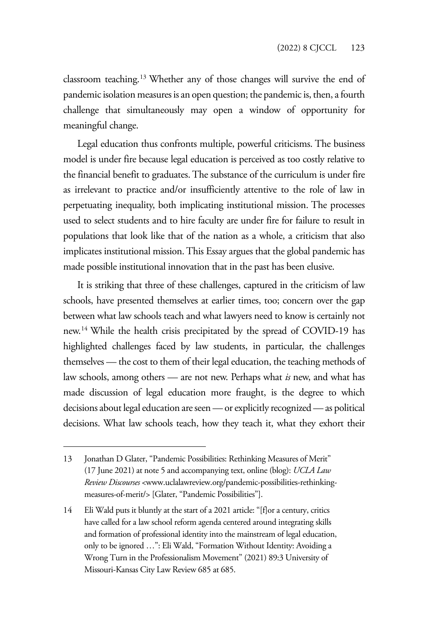classroom teaching.13 Whether any of those changes will survive the end of pandemic isolation measures is an open question; the pandemic is, then, a fourth challenge that simultaneously may open a window of opportunity for meaningful change.

Legal education thus confronts multiple, powerful criticisms. The business model is under fire because legal education is perceived as too costly relative to the financial benefit to graduates. The substance of the curriculum is under fire as irrelevant to practice and/or insufficiently attentive to the role of law in perpetuating inequality, both implicating institutional mission. The processes used to select students and to hire faculty are under fire for failure to result in populations that look like that of the nation as a whole, a criticism that also implicates institutional mission. This Essay argues that the global pandemic has made possible institutional innovation that in the past has been elusive.

It is striking that three of these challenges, captured in the criticism of law schools, have presented themselves at earlier times, too; concern over the gap between what law schools teach and what lawyers need to know is certainly not new.14 While the health crisis precipitated by the spread of COVID-19 has highlighted challenges faced by law students, in particular, the challenges themselves — the cost to them of their legal education, the teaching methods of law schools, among others — are not new. Perhaps what *is* new, and what has made discussion of legal education more fraught, is the degree to which decisions about legal education are seen — or explicitly recognized — as political decisions. What law schools teach, how they teach it, what they exhort their

<sup>13</sup> Jonathan D Glater, "Pandemic Possibilities: Rethinking Measures of Merit" (17 June 2021) at note 5 and accompanying text, online (blog): *UCLA Law Review Discourses* <www.uclalawreview.org/pandemic-possibilities-rethinkingmeasures-of-merit/> [Glater, "Pandemic Possibilities"].

<sup>14</sup> Eli Wald puts it bluntly at the start of a 2021 article: "[f]or a century, critics have called for a law school reform agenda centered around integrating skills and formation of professional identity into the mainstream of legal education, only to be ignored …": Eli Wald, "Formation Without Identity: Avoiding a Wrong Turn in the Professionalism Movement" (2021) 89:3 University of Missouri-Kansas City Law Review 685 at 685.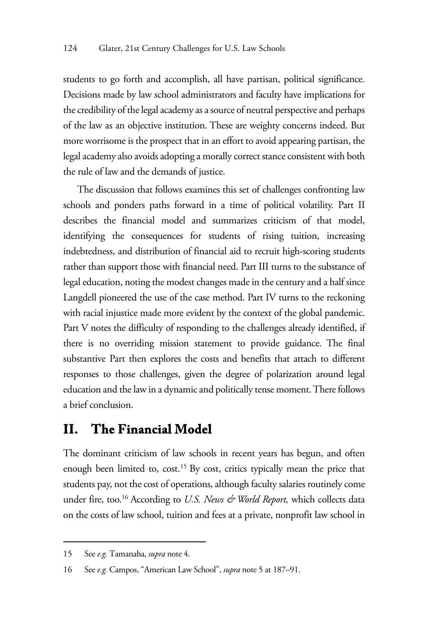students to go forth and accomplish, all have partisan, political significance. Decisions made by law school administrators and faculty have implications for the credibility of the legal academy as a source of neutral perspective and perhaps of the law as an objective institution. These are weighty concerns indeed. But more worrisome is the prospect that in an effort to avoid appearing partisan, the legal academy also avoids adopting a morally correct stance consistent with both the rule of law and the demands of justice.

The discussion that follows examines this set of challenges confronting law schools and ponders paths forward in a time of political volatility. Part II describes the financial model and summarizes criticism of that model, identifying the consequences for students of rising tuition, increasing indebtedness, and distribution of financial aid to recruit high-scoring students rather than support those with financial need. Part III turns to the substance of legal education, noting the modest changes made in the century and a half since Langdell pioneered the use of the case method. Part IV turns to the reckoning with racial injustice made more evident by the context of the global pandemic. Part V notes the difficulty of responding to the challenges already identified, if there is no overriding mission statement to provide guidance. The final substantive Part then explores the costs and benefits that attach to different responses to those challenges, given the degree of polarization around legal education and the law in a dynamic and politically tense moment. There follows a brief conclusion.

#### **II. The Financial Model**

The dominant criticism of law schools in recent years has begun, and often enough been limited to, cost.<sup>15</sup> By cost, critics typically mean the price that students pay, not the cost of operations, although faculty salaries routinely come under fire, too.<sup>16</sup> According to *U.S. News & World Report*, which collects data on the costs of law school, tuition and fees at a private, nonprofit law school in

<sup>15</sup> See *e.g.* Tamanaha, *supra* note 4.

<sup>16</sup> See *e.g.* Campos, "American Law School", *supra* note 5 at 187–91.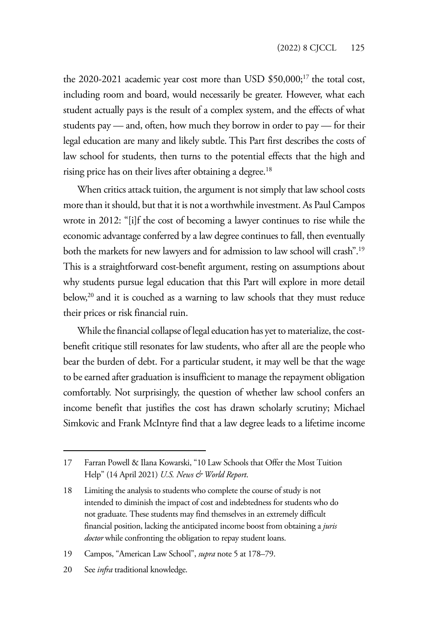the 2020-2021 academic year cost more than USD \$50,000;<sup>17</sup> the total cost, including room and board, would necessarily be greater. However, what each student actually pays is the result of a complex system, and the effects of what students pay — and, often, how much they borrow in order to pay — for their legal education are many and likely subtle. This Part first describes the costs of law school for students, then turns to the potential effects that the high and rising price has on their lives after obtaining a degree.<sup>18</sup>

When critics attack tuition, the argument is not simply that law school costs more than it should, but that it is not a worthwhile investment. As Paul Campos wrote in 2012: "[i]f the cost of becoming a lawyer continues to rise while the economic advantage conferred by a law degree continues to fall, then eventually both the markets for new lawyers and for admission to law school will crash".19 This is a straightforward cost-benefit argument, resting on assumptions about why students pursue legal education that this Part will explore in more detail below,<sup>20</sup> and it is couched as a warning to law schools that they must reduce their prices or risk financial ruin.

While the financial collapse of legal education has yet to materialize, the costbenefit critique still resonates for law students, who after all are the people who bear the burden of debt. For a particular student, it may well be that the wage to be earned after graduation is insufficient to manage the repayment obligation comfortably. Not surprisingly, the question of whether law school confers an income benefit that justifies the cost has drawn scholarly scrutiny; Michael Simkovic and Frank McIntyre find that a law degree leads to a lifetime income

20 See *infra* traditional knowledge.

<sup>17</sup> Farran Powell & Ilana Kowarski, "10 Law Schools that Offer the Most Tuition Help" (14 April 2021) *U.S. News & World Report*.

<sup>18</sup> Limiting the analysis to students who complete the course of study is not intended to diminish the impact of cost and indebtedness for students who do not graduate. These students may find themselves in an extremely difficult financial position, lacking the anticipated income boost from obtaining a *juris doctor* while confronting the obligation to repay student loans.

<sup>19</sup> Campos, "American Law School", *supra* note 5 at 178–79.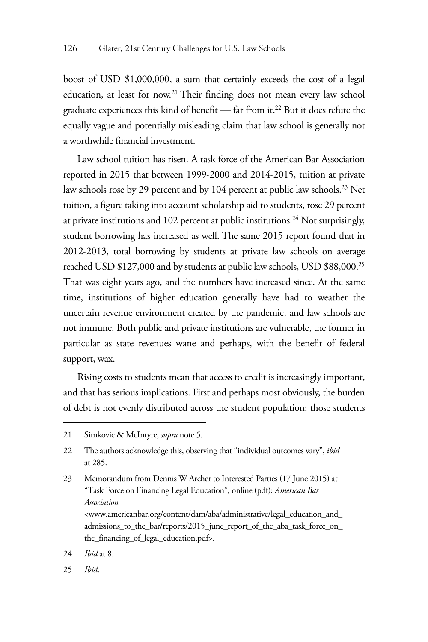boost of USD \$1,000,000, a sum that certainly exceeds the cost of a legal education, at least for now.21 Their finding does not mean every law school graduate experiences this kind of benefit — far from it.22 But it does refute the equally vague and potentially misleading claim that law school is generally not a worthwhile financial investment.

Law school tuition has risen. A task force of the American Bar Association reported in 2015 that between 1999-2000 and 2014-2015, tuition at private law schools rose by 29 percent and by 104 percent at public law schools.<sup>23</sup> Net tuition, a figure taking into account scholarship aid to students, rose 29 percent at private institutions and 102 percent at public institutions.<sup>24</sup> Not surprisingly, student borrowing has increased as well. The same 2015 report found that in 2012-2013, total borrowing by students at private law schools on average reached USD \$127,000 and by students at public law schools, USD \$88,000.25 That was eight years ago, and the numbers have increased since. At the same time, institutions of higher education generally have had to weather the uncertain revenue environment created by the pandemic, and law schools are not immune. Both public and private institutions are vulnerable, the former in particular as state revenues wane and perhaps, with the benefit of federal support, wax.

Rising costs to students mean that access to credit is increasingly important, and that has serious implications. First and perhaps most obviously, the burden of debt is not evenly distributed across the student population: those students

25 *Ibid*.

<sup>21</sup> Simkovic & McIntyre, *supra* note 5.

<sup>22</sup> The authors acknowledge this, observing that "individual outcomes vary", *ibid* at 285.

<sup>23</sup> Memorandum from Dennis W Archer to Interested Parties (17 June 2015) at "Task Force on Financing Legal Education", online (pdf): *American Bar Association*  <www.americanbar.org/content/dam/aba/administrative/legal\_education\_and\_ admissions\_to\_the\_bar/reports/2015\_june\_report\_of\_the\_aba\_task\_force\_on\_ the\_financing\_of\_legal\_education.pdf>.

<sup>24</sup> *Ibid* at 8.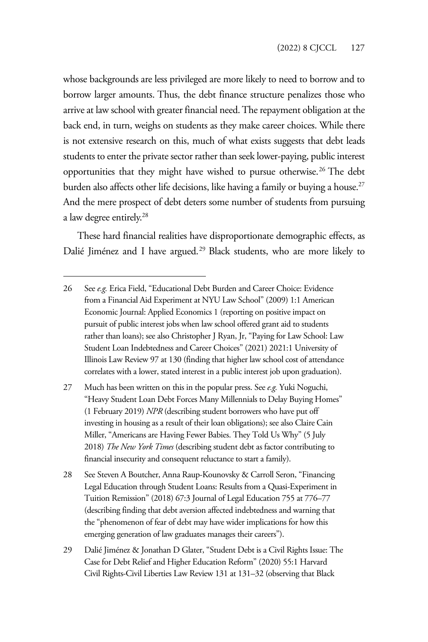whose backgrounds are less privileged are more likely to need to borrow and to borrow larger amounts. Thus, the debt finance structure penalizes those who arrive at law school with greater financial need. The repayment obligation at the back end, in turn, weighs on students as they make career choices. While there is not extensive research on this, much of what exists suggests that debt leads students to enter the private sector rather than seek lower-paying, public interest opportunities that they might have wished to pursue otherwise.26 The debt burden also affects other life decisions, like having a family or buying a house.<sup>27</sup> And the mere prospect of debt deters some number of students from pursuing a law degree entirely.28

These hard financial realities have disproportionate demographic effects, as Dalié Jiménez and I have argued.<sup>29</sup> Black students, who are more likely to

- 27 Much has been written on this in the popular press. See *e.g.* Yuki Noguchi, "Heavy Student Loan Debt Forces Many Millennials to Delay Buying Homes" (1 February 2019) *NPR* (describing student borrowers who have put off investing in housing as a result of their loan obligations); see also Claire Cain Miller, "Americans are Having Fewer Babies. They Told Us Why" (5 July 2018) *The New York Times* (describing student debt as factor contributing to financial insecurity and consequent reluctance to start a family).
- 28 See Steven A Boutcher, Anna Raup-Kounovsky & Carroll Seron, "Financing Legal Education through Student Loans: Results from a Quasi-Experiment in Tuition Remission" (2018) 67:3 Journal of Legal Education 755 at 776–77 (describing finding that debt aversion affected indebtedness and warning that the "phenomenon of fear of debt may have wider implications for how this emerging generation of law graduates manages their careers").
- 29 Dalié Jiménez & Jonathan D Glater, "Student Debt is a Civil Rights Issue: The Case for Debt Relief and Higher Education Reform" (2020) 55:1 Harvard Civil Rights-Civil Liberties Law Review 131 at 131–32 (observing that Black

<sup>26</sup> See *e.g.* Erica Field, "Educational Debt Burden and Career Choice: Evidence from a Financial Aid Experiment at NYU Law School" (2009) 1:1 American Economic Journal: Applied Economics 1 (reporting on positive impact on pursuit of public interest jobs when law school offered grant aid to students rather than loans); see also Christopher J Ryan, Jr, "Paying for Law School: Law Student Loan Indebtedness and Career Choices" (2021) 2021:1 University of Illinois Law Review 97 at 130 (finding that higher law school cost of attendance correlates with a lower, stated interest in a public interest job upon graduation).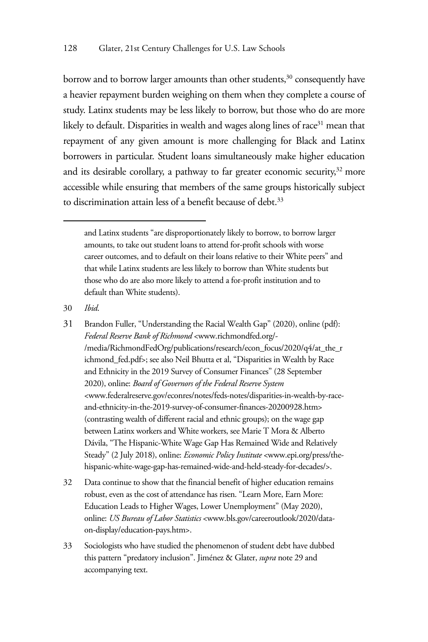borrow and to borrow larger amounts than other students,<sup>30</sup> consequently have a heavier repayment burden weighing on them when they complete a course of study. Latinx students may be less likely to borrow, but those who do are more likely to default. Disparities in wealth and wages along lines of race<sup>31</sup> mean that repayment of any given amount is more challenging for Black and Latinx borrowers in particular. Student loans simultaneously make higher education and its desirable corollary, a pathway to far greater economic security,<sup>32</sup> more accessible while ensuring that members of the same groups historically subject to discrimination attain less of a benefit because of debt.<sup>33</sup>

- 30 *Ibid*.
- 31 Brandon Fuller, "Understanding the Racial Wealth Gap" (2020), online (pdf): *Federal Reserve Bank of Richmond* <www.richmondfed.org/- /media/RichmondFedOrg/publications/research/econ\_focus/2020/q4/at\_the\_r ichmond\_fed.pdf>; see also Neil Bhutta et al, "Disparities in Wealth by Race and Ethnicity in the 2019 Survey of Consumer Finances" (28 September 2020), online: *Board of Governors of the Federal Reserve System* <www.federalreserve.gov/econres/notes/feds-notes/disparities-in-wealth-by-raceand-ethnicity-in-the-2019-survey-of-consumer-finances-20200928.htm> (contrasting wealth of different racial and ethnic groups); on the wage gap between Latinx workers and White workers, see Marie T Mora & Alberto Dávila, "The Hispanic-White Wage Gap Has Remained Wide and Relatively Steady" (2 July 2018), online: *Economic Policy Institute* <www.epi.org/press/thehispanic-white-wage-gap-has-remained-wide-and-held-steady-for-decades/>.
- 32 Data continue to show that the financial benefit of higher education remains robust, even as the cost of attendance has risen. "Learn More, Earn More: Education Leads to Higher Wages, Lower Unemployment" (May 2020), online: *US Bureau of Labor Statistics* <www.bls.gov/careeroutlook/2020/dataon-display/education-pays.htm>.
- 33 Sociologists who have studied the phenomenon of student debt have dubbed this pattern "predatory inclusion". Jiménez & Glater, *supra* note 29 and accompanying text.

and Latinx students "are disproportionately likely to borrow, to borrow larger amounts, to take out student loans to attend for-profit schools with worse career outcomes, and to default on their loans relative to their White peers" and that while Latinx students are less likely to borrow than White students but those who do are also more likely to attend a for-profit institution and to default than White students).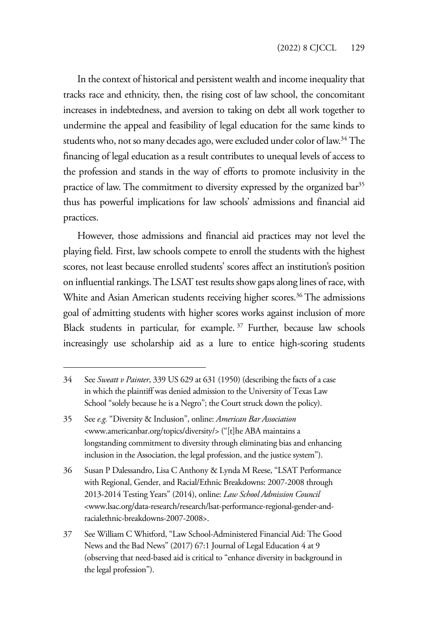In the context of historical and persistent wealth and income inequality that tracks race and ethnicity, then, the rising cost of law school, the concomitant increases in indebtedness, and aversion to taking on debt all work together to undermine the appeal and feasibility of legal education for the same kinds to students who, not so many decades ago, were excluded under color of law.<sup>34</sup> The financing of legal education as a result contributes to unequal levels of access to the profession and stands in the way of efforts to promote inclusivity in the practice of law. The commitment to diversity expressed by the organized bar<sup>35</sup> thus has powerful implications for law schools' admissions and financial aid practices.

However, those admissions and financial aid practices may not level the playing field. First, law schools compete to enroll the students with the highest scores, not least because enrolled students' scores affect an institution's position on influential rankings. The LSAT test results show gaps along lines of race, with White and Asian American students receiving higher scores.<sup>36</sup> The admissions goal of admitting students with higher scores works against inclusion of more Black students in particular, for example. 37 Further, because law schools increasingly use scholarship aid as a lure to entice high-scoring students

<sup>34</sup> See *Sweatt v Painter*, 339 US 629 at 631 (1950) (describing the facts of a case in which the plaintiff was denied admission to the University of Texas Law School "solely because he is a Negro"; the Court struck down the policy).

<sup>35</sup> See *e.g.* "Diversity & Inclusion", online: *American Bar Association* <www.americanbar.org/topics/diversity/> ("[t]he ABA maintains a longstanding commitment to diversity through eliminating bias and enhancing inclusion in the Association, the legal profession, and the justice system").

<sup>36</sup> Susan P Dalessandro, Lisa C Anthony & Lynda M Reese, "LSAT Performance with Regional, Gender, and Racial/Ethnic Breakdowns: 2007-2008 through 2013-2014 Testing Years" (2014), online: *Law School Admission Council* <www.lsac.org/data-research/research/lsat-performance-regional-gender-andracialethnic-breakdowns-2007-2008>.

<sup>37</sup> See William C Whitford, "Law School-Administered Financial Aid: The Good News and the Bad News" (2017) 67:1 Journal of Legal Education 4 at 9 (observing that need-based aid is critical to "enhance diversity in background in the legal profession").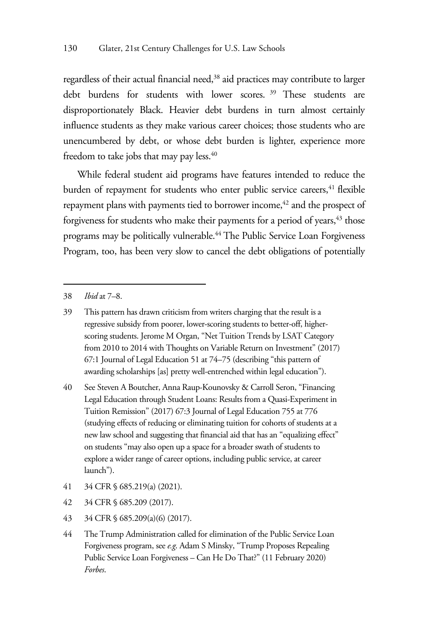regardless of their actual financial need,38 aid practices may contribute to larger debt burdens for students with lower scores. 39 These students are disproportionately Black. Heavier debt burdens in turn almost certainly influence students as they make various career choices; those students who are unencumbered by debt, or whose debt burden is lighter, experience more freedom to take jobs that may pay less.<sup>40</sup>

While federal student aid programs have features intended to reduce the burden of repayment for students who enter public service careers,<sup>41</sup> flexible repayment plans with payments tied to borrower income,<sup>42</sup> and the prospect of forgiveness for students who make their payments for a period of years,<sup>43</sup> those programs may be politically vulnerable.<sup>44</sup> The Public Service Loan Forgiveness Program, too, has been very slow to cancel the debt obligations of potentially

40 See Steven A Boutcher, Anna Raup-Kounovsky & Carroll Seron, "Financing Legal Education through Student Loans: Results from a Quasi-Experiment in Tuition Remission" (2017) 67:3 Journal of Legal Education 755 at 776 (studying effects of reducing or eliminating tuition for cohorts of students at a new law school and suggesting that financial aid that has an "equalizing effect" on students "may also open up a space for a broader swath of students to explore a wider range of career options, including public service, at career launch").

- 41 34 CFR § 685.219(a) (2021).
- 42 34 CFR § 685.209 (2017).
- 43 34 CFR § 685.209(a)(6) (2017).
- 44 The Trump Administration called for elimination of the Public Service Loan Forgiveness program, see *e.g*. Adam S Minsky, "Trump Proposes Repealing Public Service Loan Forgiveness – Can He Do That?" (11 February 2020) *Forbes*.

<sup>38</sup> *Ibid* at 7–8.

<sup>39</sup> This pattern has drawn criticism from writers charging that the result is a regressive subsidy from poorer, lower-scoring students to better-off, higherscoring students. Jerome M Organ, "Net Tuition Trends by LSAT Category from 2010 to 2014 with Thoughts on Variable Return on Investment" (2017) 67:1 Journal of Legal Education 51 at 74–75 (describing "this pattern of awarding scholarships [as] pretty well-entrenched within legal education").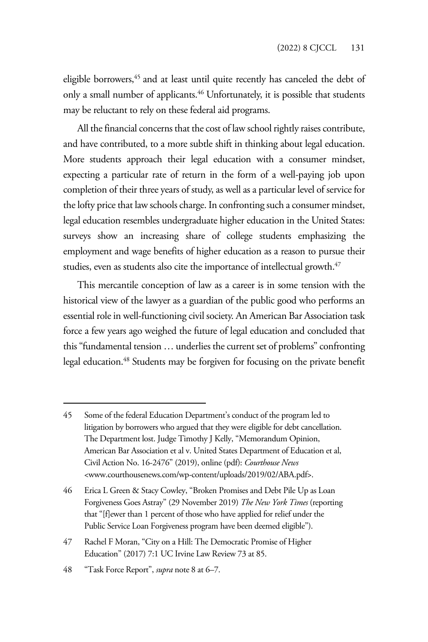eligible borrowers,<sup>45</sup> and at least until quite recently has canceled the debt of only a small number of applicants.<sup>46</sup> Unfortunately, it is possible that students may be reluctant to rely on these federal aid programs.

All the financial concerns that the cost of law school rightly raises contribute, and have contributed, to a more subtle shift in thinking about legal education. More students approach their legal education with a consumer mindset, expecting a particular rate of return in the form of a well-paying job upon completion of their three years of study, as well as a particular level of service for the lofty price that law schools charge. In confronting such a consumer mindset, legal education resembles undergraduate higher education in the United States: surveys show an increasing share of college students emphasizing the employment and wage benefits of higher education as a reason to pursue their studies, even as students also cite the importance of intellectual growth.<sup>47</sup>

This mercantile conception of law as a career is in some tension with the historical view of the lawyer as a guardian of the public good who performs an essential role in well-functioning civil society. An American Bar Association task force a few years ago weighed the future of legal education and concluded that this "fundamental tension … underlies the current set of problems" confronting legal education.48 Students may be forgiven for focusing on the private benefit

<sup>45</sup> Some of the federal Education Department's conduct of the program led to litigation by borrowers who argued that they were eligible for debt cancellation. The Department lost. Judge Timothy J Kelly, "Memorandum Opinion, American Bar Association et al v. United States Department of Education et al, Civil Action No. 16-2476" (2019), online (pdf): *Courthouse News*  <www.courthousenews.com/wp-content/uploads/2019/02/ABA.pdf>.

<sup>46</sup> Erica L Green & Stacy Cowley, "Broken Promises and Debt Pile Up as Loan Forgiveness Goes Astray" (29 November 2019) *The New York Times* (reporting that "[f]ewer than 1 percent of those who have applied for relief under the Public Service Loan Forgiveness program have been deemed eligible").

<sup>47</sup> Rachel F Moran, "City on a Hill: The Democratic Promise of Higher Education" (2017) 7:1 UC Irvine Law Review 73 at 85.

<sup>48 &</sup>quot;Task Force Report", *supra* note 8 at 6–7.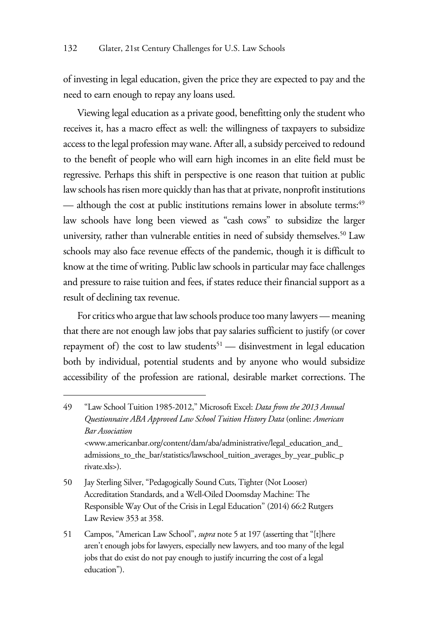of investing in legal education, given the price they are expected to pay and the need to earn enough to repay any loans used.

Viewing legal education as a private good, benefitting only the student who receives it, has a macro effect as well: the willingness of taxpayers to subsidize access to the legal profession may wane. After all, a subsidy perceived to redound to the benefit of people who will earn high incomes in an elite field must be regressive. Perhaps this shift in perspective is one reason that tuition at public law schools has risen more quickly than has that at private, nonprofit institutions — although the cost at public institutions remains lower in absolute terms:<sup>49</sup> law schools have long been viewed as "cash cows" to subsidize the larger university, rather than vulnerable entities in need of subsidy themselves.<sup>50</sup> Law schools may also face revenue effects of the pandemic, though it is difficult to know at the time of writing. Public law schools in particular may face challenges and pressure to raise tuition and fees, if states reduce their financial support as a result of declining tax revenue.

For critics who argue that law schools produce too many lawyers — meaning that there are not enough law jobs that pay salaries sufficient to justify (or cover repayment of) the cost to law students<sup>51</sup> — disinvestment in legal education both by individual, potential students and by anyone who would subsidize accessibility of the profession are rational, desirable market corrections. The

<sup>49 &</sup>quot;Law School Tuition 1985-2012," Microsoft Excel: *Data from the 2013 Annual Questionnaire ABA Approved Law School Tuition History Data* (online: *American Bar Association*  <www.americanbar.org/content/dam/aba/administrative/legal\_education\_and\_ admissions\_to\_the\_bar/statistics/lawschool\_tuition\_averages\_by\_year\_public\_p rivate.xls>).

<sup>50</sup> Jay Sterling Silver, "Pedagogically Sound Cuts, Tighter (Not Looser) Accreditation Standards, and a Well-Oiled Doomsday Machine: The Responsible Way Out of the Crisis in Legal Education" (2014) 66:2 Rutgers Law Review 353 at 358.

<sup>51</sup> Campos, "American Law School", *supra* note 5 at 197 (asserting that "[t]here aren't enough jobs for lawyers, especially new lawyers, and too many of the legal jobs that do exist do not pay enough to justify incurring the cost of a legal education").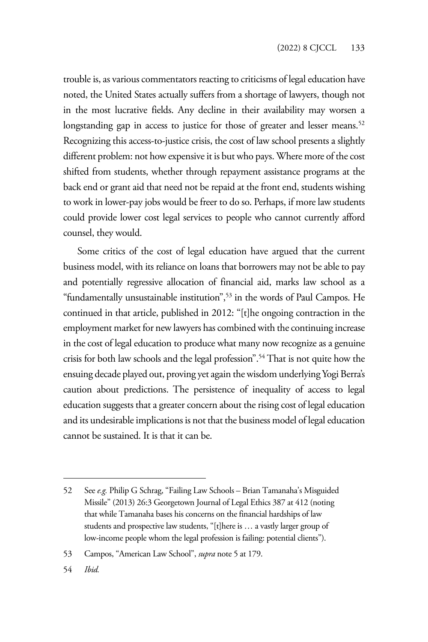trouble is, as various commentators reacting to criticisms of legal education have noted, the United States actually suffers from a shortage of lawyers, though not in the most lucrative fields. Any decline in their availability may worsen a longstanding gap in access to justice for those of greater and lesser means.<sup>52</sup> Recognizing this access-to-justice crisis, the cost of law school presents a slightly different problem: not how expensive it is but who pays. Where more of the cost shifted from students, whether through repayment assistance programs at the back end or grant aid that need not be repaid at the front end, students wishing to work in lower-pay jobs would be freer to do so. Perhaps, if more law students could provide lower cost legal services to people who cannot currently afford counsel, they would.

Some critics of the cost of legal education have argued that the current business model, with its reliance on loans that borrowers may not be able to pay and potentially regressive allocation of financial aid, marks law school as a "fundamentally unsustainable institution",53 in the words of Paul Campos. He continued in that article, published in 2012: "[t]he ongoing contraction in the employment market for new lawyers has combined with the continuing increase in the cost of legal education to produce what many now recognize as a genuine crisis for both law schools and the legal profession".54 That is not quite how the ensuing decade played out, proving yet again the wisdom underlying Yogi Berra's caution about predictions. The persistence of inequality of access to legal education suggests that a greater concern about the rising cost of legal education and its undesirable implications is not that the business model of legal education cannot be sustained. It is that it can be.

<sup>52</sup> See *e.g.* Philip G Schrag, "Failing Law Schools – Brian Tamanaha's Misguided Missile" (2013) 26:3 Georgetown Journal of Legal Ethics 387 at 412 (noting that while Tamanaha bases his concerns on the financial hardships of law students and prospective law students, "[t]here is … a vastly larger group of low-income people whom the legal profession is failing: potential clients").

<sup>53</sup> Campos, "American Law School", *supra* note 5 at 179.

<sup>54</sup> *Ibid.*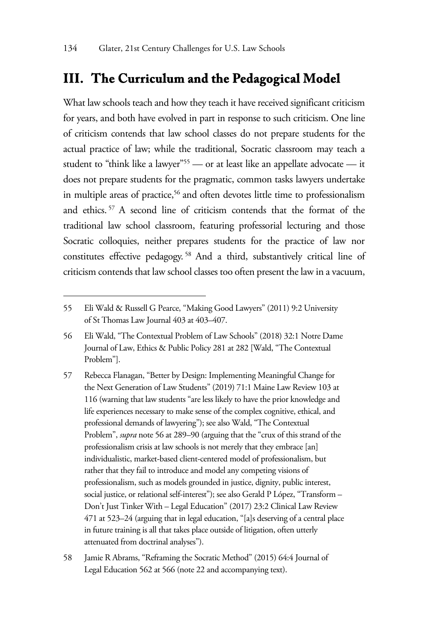#### **III. The Curriculum and the Pedagogical Model**

What law schools teach and how they teach it have received significant criticism for years, and both have evolved in part in response to such criticism. One line of criticism contends that law school classes do not prepare students for the actual practice of law; while the traditional, Socratic classroom may teach a student to "think like a lawyer"<sup>55</sup> — or at least like an appellate advocate — it does not prepare students for the pragmatic, common tasks lawyers undertake in multiple areas of practice,<sup>56</sup> and often devotes little time to professionalism and ethics. 57 A second line of criticism contends that the format of the traditional law school classroom, featuring professorial lecturing and those Socratic colloquies, neither prepares students for the practice of law nor constitutes effective pedagogy. 58 And a third, substantively critical line of criticism contends that law school classes too often present the law in a vacuum,

<sup>55</sup> Eli Wald & Russell G Pearce, "Making Good Lawyers" (2011) 9:2 University of St Thomas Law Journal 403 at 403–407.

<sup>56</sup> Eli Wald, "The Contextual Problem of Law Schools" (2018) 32:1 Notre Dame Journal of Law, Ethics & Public Policy 281 at 282 [Wald, "The Contextual Problem"].

<sup>57</sup> Rebecca Flanagan, "Better by Design: Implementing Meaningful Change for the Next Generation of Law Students" (2019) 71:1 Maine Law Review 103 at 116 (warning that law students "are less likely to have the prior knowledge and life experiences necessary to make sense of the complex cognitive, ethical, and professional demands of lawyering"); see also Wald, "The Contextual Problem", *supra* note 56 at 289–90 (arguing that the "crux of this strand of the professionalism crisis at law schools is not merely that they embrace [an] individualistic, market-based client-centered model of professionalism, but rather that they fail to introduce and model any competing visions of professionalism, such as models grounded in justice, dignity, public interest, social justice, or relational self-interest"); see also Gerald P López, "Transform – Don't Just Tinker With – Legal Education" (2017) 23:2 Clinical Law Review 471 at 523–24 (arguing that in legal education, "[a]s deserving of a central place in future training is all that takes place outside of litigation, often utterly attenuated from doctrinal analyses").

<sup>58</sup> Jamie R Abrams, "Reframing the Socratic Method" (2015) 64:4 Journal of Legal Education 562 at 566 (note 22 and accompanying text).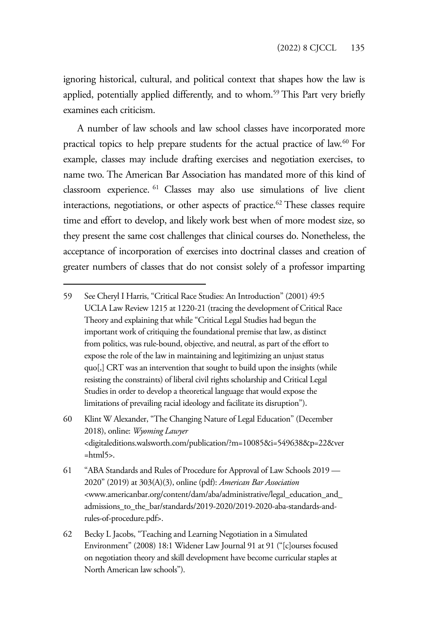ignoring historical, cultural, and political context that shapes how the law is applied, potentially applied differently, and to whom.<sup>59</sup> This Part very briefly examines each criticism.

A number of law schools and law school classes have incorporated more practical topics to help prepare students for the actual practice of law.<sup>60</sup> For example, classes may include drafting exercises and negotiation exercises, to name two. The American Bar Association has mandated more of this kind of classroom experience. 61 Classes may also use simulations of live client interactions, negotiations, or other aspects of practice.<sup>62</sup> These classes require time and effort to develop, and likely work best when of more modest size, so they present the same cost challenges that clinical courses do. Nonetheless, the acceptance of incorporation of exercises into doctrinal classes and creation of greater numbers of classes that do not consist solely of a professor imparting

<sup>59</sup> See Cheryl I Harris, "Critical Race Studies: An Introduction" (2001) 49:5 UCLA Law Review 1215 at 1220-21 (tracing the development of Critical Race Theory and explaining that while "Critical Legal Studies had begun the important work of critiquing the foundational premise that law, as distinct from politics, was rule-bound, objective, and neutral, as part of the effort to expose the role of the law in maintaining and legitimizing an unjust status quo[,] CRT was an intervention that sought to build upon the insights (while resisting the constraints) of liberal civil rights scholarship and Critical Legal Studies in order to develop a theoretical language that would expose the limitations of prevailing racial ideology and facilitate its disruption").

<sup>60</sup> Klint W Alexander, "The Changing Nature of Legal Education" (December 2018), online: *Wyoming Lawyer* <digitaleditions.walsworth.com/publication/?m=10085&i=549638&p=22&ver =html5>.

<sup>61 &</sup>quot;ABA Standards and Rules of Procedure for Approval of Law Schools 2019 — 2020" (2019) at 303(A)(3), online (pdf): *American Bar Association*  <www.americanbar.org/content/dam/aba/administrative/legal\_education\_and\_ admissions\_to\_the\_bar/standards/2019-2020/2019-2020-aba-standards-andrules-of-procedure.pdf>.

<sup>62</sup> Becky L Jacobs, "Teaching and Learning Negotiation in a Simulated Environment" (2008) 18:1 Widener Law Journal 91 at 91 ("[c]ourses focused on negotiation theory and skill development have become curricular staples at North American law schools").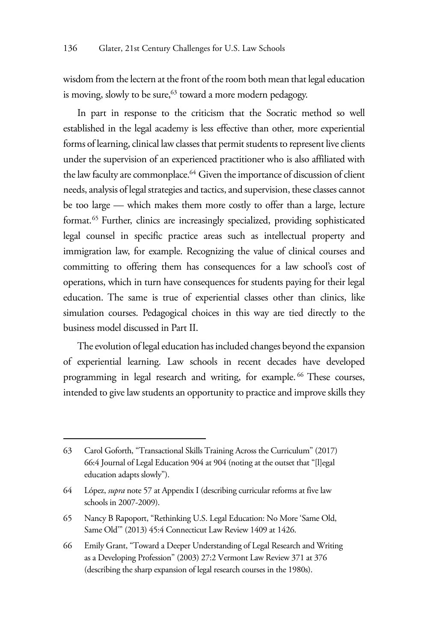wisdom from the lectern at the front of the room both mean that legal education is moving, slowly to be sure, $63$  toward a more modern pedagogy.

In part in response to the criticism that the Socratic method so well established in the legal academy is less effective than other, more experiential forms of learning, clinical law classes that permit students to represent live clients under the supervision of an experienced practitioner who is also affiliated with the law faculty are commonplace.<sup>64</sup> Given the importance of discussion of client needs, analysis of legal strategies and tactics, and supervision, these classes cannot be too large — which makes them more costly to offer than a large, lecture format.65 Further, clinics are increasingly specialized, providing sophisticated legal counsel in specific practice areas such as intellectual property and immigration law, for example. Recognizing the value of clinical courses and committing to offering them has consequences for a law school's cost of operations, which in turn have consequences for students paying for their legal education. The same is true of experiential classes other than clinics, like simulation courses. Pedagogical choices in this way are tied directly to the business model discussed in Part II.

The evolution of legal education has included changes beyond the expansion of experiential learning. Law schools in recent decades have developed programming in legal research and writing, for example.<sup>66</sup> These courses, intended to give law students an opportunity to practice and improve skills they

<sup>63</sup> Carol Goforth, "Transactional Skills Training Across the Curriculum" (2017) 66:4 Journal of Legal Education 904 at 904 (noting at the outset that "[l]egal education adapts slowly").

<sup>64</sup> López, *supra* note 57 at Appendix I (describing curricular reforms at five law schools in 2007-2009).

<sup>65</sup> Nancy B Rapoport, "Rethinking U.S. Legal Education: No More 'Same Old, Same Old'" (2013) 45:4 Connecticut Law Review 1409 at 1426.

<sup>66</sup> Emily Grant, "Toward a Deeper Understanding of Legal Research and Writing as a Developing Profession" (2003) 27:2 Vermont Law Review 371 at 376 (describing the sharp expansion of legal research courses in the 1980s).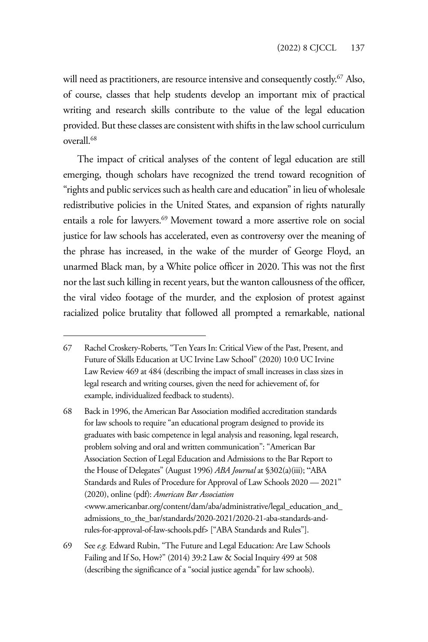will need as practitioners, are resource intensive and consequently costly.<sup>67</sup> Also, of course, classes that help students develop an important mix of practical writing and research skills contribute to the value of the legal education provided. But these classes are consistent with shifts in the law school curriculum overall.68

The impact of critical analyses of the content of legal education are still emerging, though scholars have recognized the trend toward recognition of "rights and public services such as health care and education" in lieu of wholesale redistributive policies in the United States, and expansion of rights naturally entails a role for lawyers.<sup>69</sup> Movement toward a more assertive role on social justice for law schools has accelerated, even as controversy over the meaning of the phrase has increased, in the wake of the murder of George Floyd, an unarmed Black man, by a White police officer in 2020. This was not the first nor the last such killing in recent years, but the wanton callousness of the officer, the viral video footage of the murder, and the explosion of protest against racialized police brutality that followed all prompted a remarkable, national

68 Back in 1996, the American Bar Association modified accreditation standards for law schools to require "an educational program designed to provide its graduates with basic competence in legal analysis and reasoning, legal research, problem solving and oral and written communication": "American Bar Association Section of Legal Education and Admissions to the Bar Report to the House of Delegates" (August 1996) *ABA Journal* at §302(a)(iii); "ABA Standards and Rules of Procedure for Approval of Law Schools 2020 — 2021" (2020), online (pdf): *American Bar Association*  <www.americanbar.org/content/dam/aba/administrative/legal\_education\_and\_ admissions\_to\_the\_bar/standards/2020-2021/2020-21-aba-standards-andrules-for-approval-of-law-schools.pdf> ["ABA Standards and Rules"].

<sup>67</sup> Rachel Croskery-Roberts, "Ten Years In: Critical View of the Past, Present, and Future of Skills Education at UC Irvine Law School" (2020) 10:0 UC Irvine Law Review 469 at 484 (describing the impact of small increases in class sizes in legal research and writing courses, given the need for achievement of, for example, individualized feedback to students).

<sup>69</sup> See *e.g.* Edward Rubin, "The Future and Legal Education: Are Law Schools Failing and If So, How?" (2014) 39:2 Law & Social Inquiry 499 at 508 (describing the significance of a "social justice agenda" for law schools).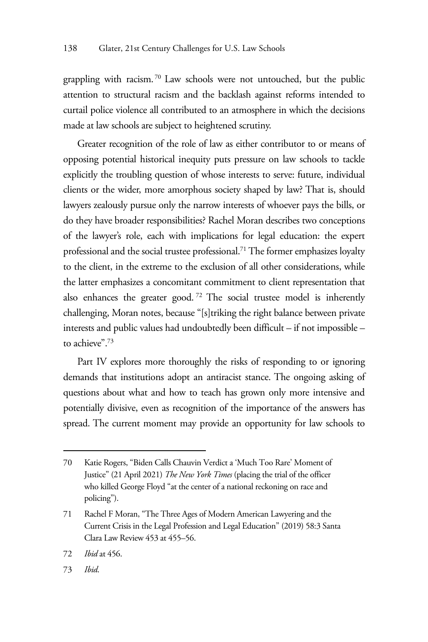grappling with racism. 70 Law schools were not untouched, but the public attention to structural racism and the backlash against reforms intended to curtail police violence all contributed to an atmosphere in which the decisions made at law schools are subject to heightened scrutiny.

Greater recognition of the role of law as either contributor to or means of opposing potential historical inequity puts pressure on law schools to tackle explicitly the troubling question of whose interests to serve: future, individual clients or the wider, more amorphous society shaped by law? That is, should lawyers zealously pursue only the narrow interests of whoever pays the bills, or do they have broader responsibilities? Rachel Moran describes two conceptions of the lawyer's role, each with implications for legal education: the expert professional and the social trustee professional.<sup>71</sup> The former emphasizes loyalty to the client, in the extreme to the exclusion of all other considerations, while the latter emphasizes a concomitant commitment to client representation that also enhances the greater good. 72 The social trustee model is inherently challenging, Moran notes, because "[s]triking the right balance between private interests and public values had undoubtedly been difficult – if not impossible – to achieve".<sup>73</sup>

Part IV explores more thoroughly the risks of responding to or ignoring demands that institutions adopt an antiracist stance. The ongoing asking of questions about what and how to teach has grown only more intensive and potentially divisive, even as recognition of the importance of the answers has spread. The current moment may provide an opportunity for law schools to

<sup>70</sup> Katie Rogers, "Biden Calls Chauvin Verdict a 'Much Too Rare' Moment of Justice" (21 April 2021) *The New York Times* (placing the trial of the officer who killed George Floyd "at the center of a national reckoning on race and policing").

<sup>71</sup> Rachel F Moran, "The Three Ages of Modern American Lawyering and the Current Crisis in the Legal Profession and Legal Education" (2019) 58:3 Santa Clara Law Review 453 at 455–56.

<sup>72</sup> *Ibid* at 456.

<sup>73</sup> *Ibid*.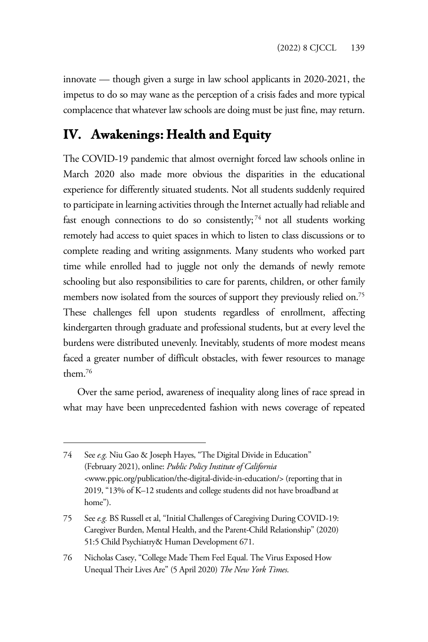innovate — though given a surge in law school applicants in 2020-2021, the impetus to do so may wane as the perception of a crisis fades and more typical complacence that whatever law schools are doing must be just fine, may return.

### **IV. Awakenings: Health and Equity**

The COVID-19 pandemic that almost overnight forced law schools online in March 2020 also made more obvious the disparities in the educational experience for differently situated students. Not all students suddenly required to participate in learning activities through the Internet actually had reliable and fast enough connections to do so consistently;<sup>74</sup> not all students working remotely had access to quiet spaces in which to listen to class discussions or to complete reading and writing assignments. Many students who worked part time while enrolled had to juggle not only the demands of newly remote schooling but also responsibilities to care for parents, children, or other family members now isolated from the sources of support they previously relied on.<sup>75</sup> These challenges fell upon students regardless of enrollment, affecting kindergarten through graduate and professional students, but at every level the burdens were distributed unevenly. Inevitably, students of more modest means faced a greater number of difficult obstacles, with fewer resources to manage them.76

Over the same period, awareness of inequality along lines of race spread in what may have been unprecedented fashion with news coverage of repeated

<sup>74</sup> See *e.g.* Niu Gao & Joseph Hayes, "The Digital Divide in Education" (February 2021), online: *Public Policy Institute of California*  <www.ppic.org/publication/the-digital-divide-in-education/> (reporting that in 2019, "13% of K–12 students and college students did not have broadband at home").

<sup>75</sup> See *e.g.* BS Russell et al, "Initial Challenges of Caregiving During COVID-19: Caregiver Burden, Mental Health, and the Parent-Child Relationship" (2020) 51:5 Child Psychiatry& Human Development 671.

<sup>76</sup> Nicholas Casey, "College Made Them Feel Equal. The Virus Exposed How Unequal Their Lives Are" (5 April 2020) *The New York Times*.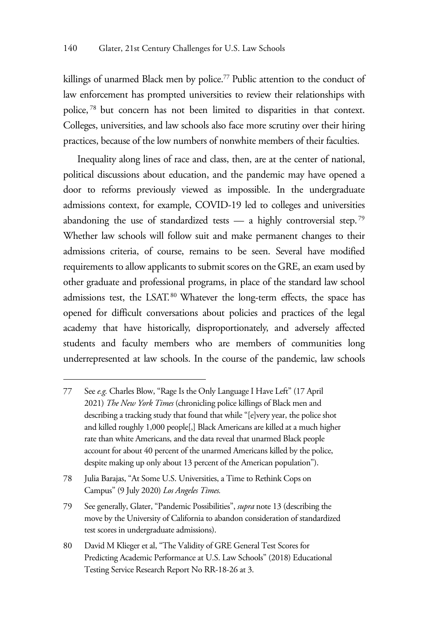killings of unarmed Black men by police.<sup>77</sup> Public attention to the conduct of law enforcement has prompted universities to review their relationships with police, 78 but concern has not been limited to disparities in that context. Colleges, universities, and law schools also face more scrutiny over their hiring practices, because of the low numbers of nonwhite members of their faculties.

Inequality along lines of race and class, then, are at the center of national, political discussions about education, and the pandemic may have opened a door to reforms previously viewed as impossible. In the undergraduate admissions context, for example, COVID-19 led to colleges and universities abandoning the use of standardized tests — a highly controversial step.<sup>79</sup> Whether law schools will follow suit and make permanent changes to their admissions criteria, of course, remains to be seen. Several have modified requirements to allow applicants to submit scores on the GRE, an exam used by other graduate and professional programs, in place of the standard law school admissions test, the LSAT.<sup>80</sup> Whatever the long-term effects, the space has opened for difficult conversations about policies and practices of the legal academy that have historically, disproportionately, and adversely affected students and faculty members who are members of communities long underrepresented at law schools. In the course of the pandemic, law schools

<sup>77</sup> See *e.g.* Charles Blow, "Rage Is the Only Language I Have Left" (17 April 2021) *The New York Times* (chronicling police killings of Black men and describing a tracking study that found that while "[e]very year, the police shot and killed roughly 1,000 people[,] Black Americans are killed at a much higher rate than white Americans, and the data reveal that unarmed Black people account for about 40 percent of the unarmed Americans killed by the police, despite making up only about 13 percent of the American population").

<sup>78</sup> Julia Barajas, "At Some U.S. Universities, a Time to Rethink Cops on Campus" (9 July 2020) *Los Angeles Times.* 

<sup>79</sup> See generally, Glater, "Pandemic Possibilities", *supra* note 13 (describing the move by the University of California to abandon consideration of standardized test scores in undergraduate admissions).

<sup>80</sup> David M Klieger et al, "The Validity of GRE General Test Scores for Predicting Academic Performance at U.S. Law Schools" (2018) Educational Testing Service Research Report No RR-18-26 at 3.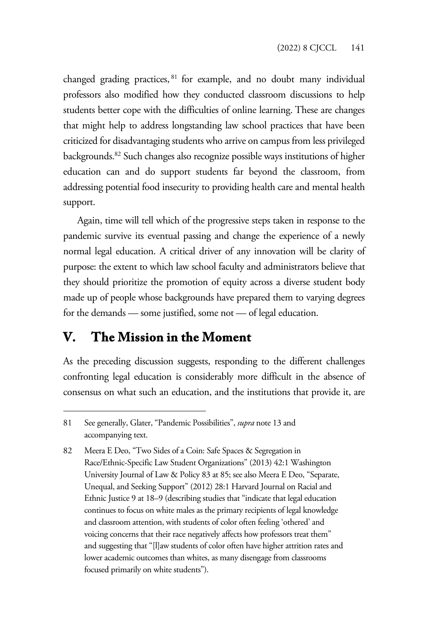changed grading practices, 81 for example, and no doubt many individual professors also modified how they conducted classroom discussions to help students better cope with the difficulties of online learning. These are changes that might help to address longstanding law school practices that have been criticized for disadvantaging students who arrive on campus from less privileged backgrounds.82 Such changes also recognize possible ways institutions of higher education can and do support students far beyond the classroom, from addressing potential food insecurity to providing health care and mental health support.

Again, time will tell which of the progressive steps taken in response to the pandemic survive its eventual passing and change the experience of a newly normal legal education. A critical driver of any innovation will be clarity of purpose: the extent to which law school faculty and administrators believe that they should prioritize the promotion of equity across a diverse student body made up of people whose backgrounds have prepared them to varying degrees for the demands — some justified, some not — of legal education.

#### **V. The Mission in the Moment**

As the preceding discussion suggests, responding to the different challenges confronting legal education is considerably more difficult in the absence of consensus on what such an education, and the institutions that provide it, are

<sup>81</sup> See generally, Glater, "Pandemic Possibilities", *supra* note 13 and accompanying text.

<sup>82</sup> Meera E Deo, "Two Sides of a Coin: Safe Spaces & Segregation in Race/Ethnic-Specific Law Student Organizations" (2013) 42:1 Washington University Journal of Law & Policy 83 at 85; see also Meera E Deo, "Separate, Unequal, and Seeking Support" (2012) 28:1 Harvard Journal on Racial and Ethnic Justice 9 at 18–9 (describing studies that "indicate that legal education continues to focus on white males as the primary recipients of legal knowledge and classroom attention, with students of color often feeling 'othered' and voicing concerns that their race negatively affects how professors treat them" and suggesting that "[l]aw students of color often have higher attrition rates and lower academic outcomes than whites, as many disengage from classrooms focused primarily on white students").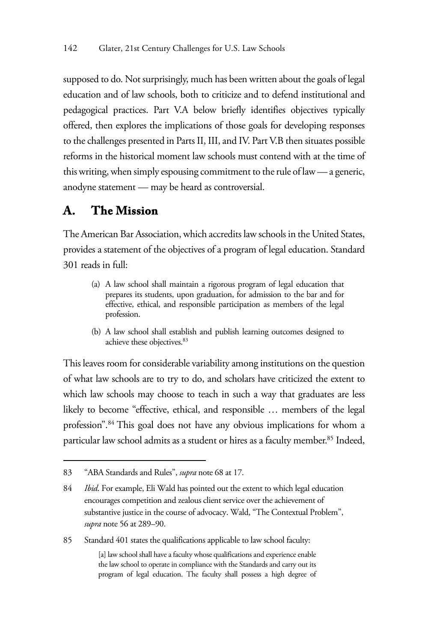supposed to do. Not surprisingly, much has been written about the goals of legal education and of law schools, both to criticize and to defend institutional and pedagogical practices. Part V.A below briefly identifies objectives typically offered, then explores the implications of those goals for developing responses to the challenges presented in Parts II, III, and IV. Part V.B then situates possible reforms in the historical moment law schools must contend with at the time of this writing, when simply espousing commitment to the rule of law — a generic, anodyne statement — may be heard as controversial.

### **A. The Mission**

The American Bar Association, which accredits law schools in the United States, provides a statement of the objectives of a program of legal education. Standard 301 reads in full:

- (a) A law school shall maintain a rigorous program of legal education that prepares its students, upon graduation, for admission to the bar and for effective, ethical, and responsible participation as members of the legal profession.
- (b) A law school shall establish and publish learning outcomes designed to achieve these objectives.<sup>83</sup>

This leaves room for considerable variability among institutions on the question of what law schools are to try to do, and scholars have criticized the extent to which law schools may choose to teach in such a way that graduates are less likely to become "effective, ethical, and responsible … members of the legal profession".84 This goal does not have any obvious implications for whom a particular law school admits as a student or hires as a faculty member.<sup>85</sup> Indeed,

85 Standard 401 states the qualifications applicable to law school faculty:

[a] law school shall have a faculty whose qualifications and experience enable the law school to operate in compliance with the Standards and carry out its program of legal education. The faculty shall possess a high degree of

<sup>83 &</sup>quot;ABA Standards and Rules", *supra* note 68 at 17.

<sup>84</sup> *Ibid*. For example, Eli Wald has pointed out the extent to which legal education encourages competition and zealous client service over the achievement of substantive justice in the course of advocacy. Wald, "The Contextual Problem", *supra* note 56 at 289–90.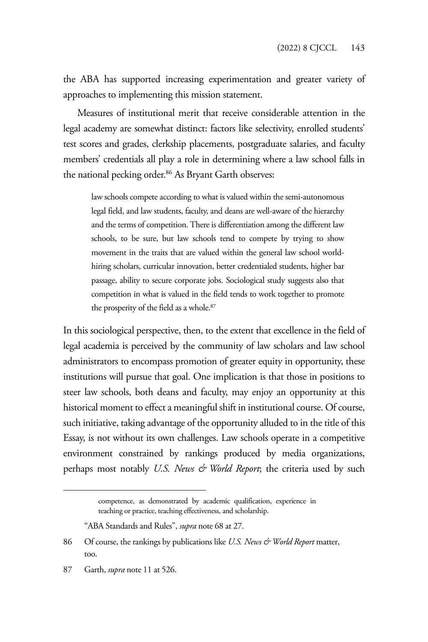the ABA has supported increasing experimentation and greater variety of approaches to implementing this mission statement.

Measures of institutional merit that receive considerable attention in the legal academy are somewhat distinct: factors like selectivity, enrolled students' test scores and grades, clerkship placements, postgraduate salaries, and faculty members' credentials all play a role in determining where a law school falls in the national pecking order.<sup>86</sup> As Bryant Garth observes:

law schools compete according to what is valued within the semi-autonomous legal field, and law students, faculty, and deans are well-aware of the hierarchy and the terms of competition. There is differentiation among the different law schools, to be sure, but law schools tend to compete by trying to show movement in the traits that are valued within the general law school worldhiring scholars, curricular innovation, better credentialed students, higher bar passage, ability to secure corporate jobs. Sociological study suggests also that competition in what is valued in the field tends to work together to promote the prosperity of the field as a whole.<sup>87</sup>

In this sociological perspective, then, to the extent that excellence in the field of legal academia is perceived by the community of law scholars and law school administrators to encompass promotion of greater equity in opportunity, these institutions will pursue that goal. One implication is that those in positions to steer law schools, both deans and faculty, may enjoy an opportunity at this historical moment to effect a meaningful shift in institutional course. Of course, such initiative, taking advantage of the opportunity alluded to in the title of this Essay, is not without its own challenges. Law schools operate in a competitive environment constrained by rankings produced by media organizations, perhaps most notably *U.S. News & World Report*; the criteria used by such

competence, as demonstrated by academic qualification, experience in teaching or practice, teaching effectiveness, and scholarship.

<sup>&</sup>quot;ABA Standards and Rules", *supra* note 68 at 27.

<sup>86</sup> Of course, the rankings by publications like *U.S. News & World Report* matter, too.

<sup>87</sup> Garth, *supra* note 11 at 526.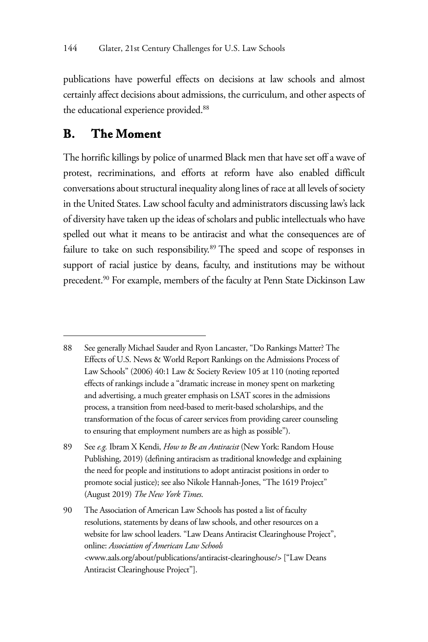publications have powerful effects on decisions at law schools and almost certainly affect decisions about admissions, the curriculum, and other aspects of the educational experience provided.<sup>88</sup>

#### **B. The Moment**

The horrific killings by police of unarmed Black men that have set off a wave of protest, recriminations, and efforts at reform have also enabled difficult conversations about structural inequality along lines of race at all levels of society in the United States. Law school faculty and administrators discussing law's lack of diversity have taken up the ideas of scholars and public intellectuals who have spelled out what it means to be antiracist and what the consequences are of failure to take on such responsibility.<sup>89</sup> The speed and scope of responses in support of racial justice by deans, faculty, and institutions may be without precedent.<sup>90</sup> For example, members of the faculty at Penn State Dickinson Law

<sup>88</sup> See generally Michael Sauder and Ryon Lancaster, "Do Rankings Matter? The Effects of U.S. News & World Report Rankings on the Admissions Process of Law Schools" (2006) 40:1 Law & Society Review 105 at 110 (noting reported effects of rankings include a "dramatic increase in money spent on marketing and advertising, a much greater emphasis on LSAT scores in the admissions process, a transition from need-based to merit-based scholarships, and the transformation of the focus of career services from providing career counseling to ensuring that employment numbers are as high as possible").

<sup>89</sup> See *e.g.* Ibram X Kendi, *How to Be an Antiracist* (New York: Random House Publishing, 2019) (defining antiracism as traditional knowledge and explaining the need for people and institutions to adopt antiracist positions in order to promote social justice); see also Nikole Hannah-Jones, "The 1619 Project" (August 2019) *The New York Times*.

<sup>90</sup> The Association of American Law Schools has posted a list of faculty resolutions, statements by deans of law schools, and other resources on a website for law school leaders. "Law Deans Antiracist Clearinghouse Project", online: *Association of American Law Schools* <www.aals.org/about/publications/antiracist-clearinghouse/> ["Law Deans Antiracist Clearinghouse Project"].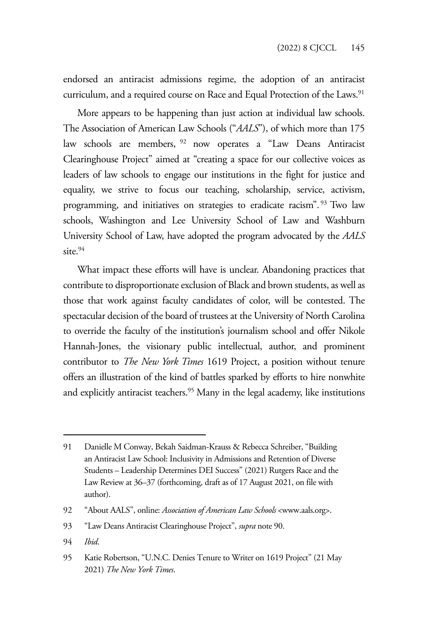endorsed an antiracist admissions regime, the adoption of an antiracist curriculum, and a required course on Race and Equal Protection of the Laws.<sup>91</sup>

More appears to be happening than just action at individual law schools. The Association of American Law Schools ("*AALS*"), of which more than 175 law schools are members, 92 now operates a "Law Deans Antiracist Clearinghouse Project" aimed at "creating a space for our collective voices as leaders of law schools to engage our institutions in the fight for justice and equality, we strive to focus our teaching, scholarship, service, activism, programming, and initiatives on strategies to eradicate racism". 93 Two law schools, Washington and Lee University School of Law and Washburn University School of Law, have adopted the program advocated by the *AALS* site  $94$ 

What impact these efforts will have is unclear. Abandoning practices that contribute to disproportionate exclusion of Black and brown students, as well as those that work against faculty candidates of color, will be contested. The spectacular decision of the board of trustees at the University of North Carolina to override the faculty of the institution's journalism school and offer Nikole Hannah-Jones, the visionary public intellectual, author, and prominent contributor to *The New York Times* 1619 Project, a position without tenure offers an illustration of the kind of battles sparked by efforts to hire nonwhite and explicitly antiracist teachers.<sup>95</sup> Many in the legal academy, like institutions

94 *Ibid*.

<sup>91</sup> Danielle M Conway, Bekah Saidman-Krauss & Rebecca Schreiber, "Building an Antiracist Law School: Inclusivity in Admissions and Retention of Diverse Students – Leadership Determines DEI Success" (2021) Rutgers Race and the Law Review at 36–37 (forthcoming, draft as of 17 August 2021, on file with author).

<sup>92 &</sup>quot;About AALS", online: *Association of American Law Schools* <www.aals.org>.

<sup>93 &</sup>quot;Law Deans Antiracist Clearinghouse Project", *supra* note 90.

<sup>95</sup> Katie Robertson, "U.N.C. Denies Tenure to Writer on 1619 Project" (21 May 2021) *The New York Times*.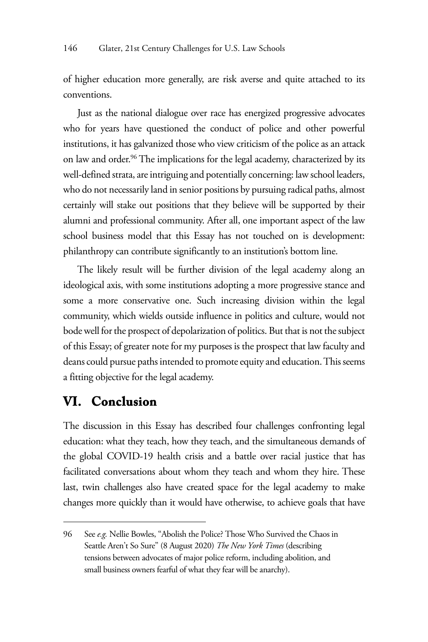of higher education more generally, are risk averse and quite attached to its conventions.

Just as the national dialogue over race has energized progressive advocates who for years have questioned the conduct of police and other powerful institutions, it has galvanized those who view criticism of the police as an attack on law and order.<sup>96</sup> The implications for the legal academy, characterized by its well-defined strata, are intriguing and potentially concerning: law school leaders, who do not necessarily land in senior positions by pursuing radical paths, almost certainly will stake out positions that they believe will be supported by their alumni and professional community. After all, one important aspect of the law school business model that this Essay has not touched on is development: philanthropy can contribute significantly to an institution's bottom line.

The likely result will be further division of the legal academy along an ideological axis, with some institutions adopting a more progressive stance and some a more conservative one. Such increasing division within the legal community, which wields outside influence in politics and culture, would not bode well for the prospect of depolarization of politics. But that is not the subject of this Essay; of greater note for my purposes is the prospect that law faculty and deans could pursue paths intended to promote equity and education. This seems a fitting objective for the legal academy.

#### **VI. Conclusion**

The discussion in this Essay has described four challenges confronting legal education: what they teach, how they teach, and the simultaneous demands of the global COVID-19 health crisis and a battle over racial justice that has facilitated conversations about whom they teach and whom they hire. These last, twin challenges also have created space for the legal academy to make changes more quickly than it would have otherwise, to achieve goals that have

<sup>96</sup> See *e.g.* Nellie Bowles, "Abolish the Police? Those Who Survived the Chaos in Seattle Aren't So Sure" (8 August 2020) *The New York Times* (describing tensions between advocates of major police reform, including abolition, and small business owners fearful of what they fear will be anarchy).